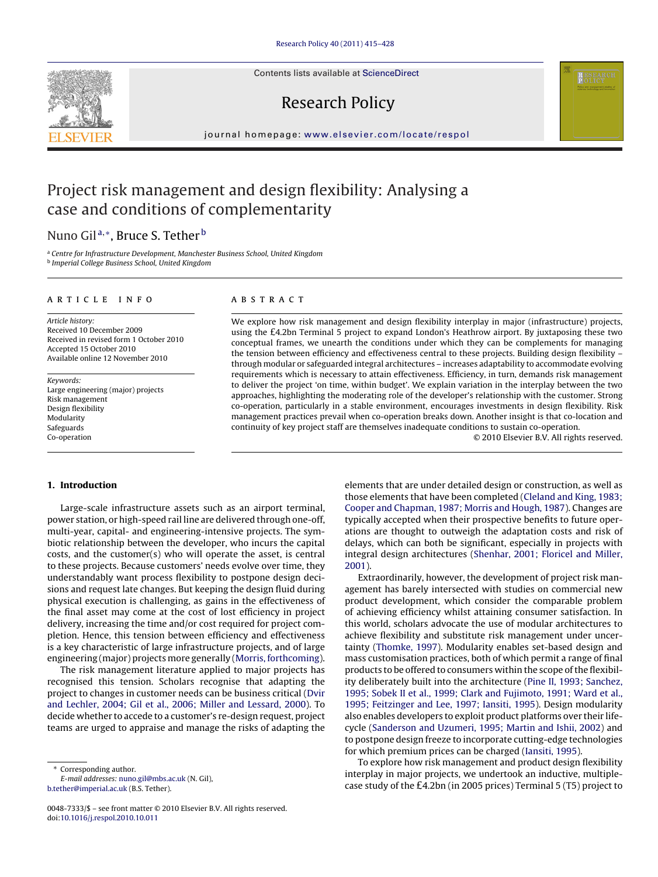Contents lists available at [ScienceDirect](http://www.sciencedirect.com/science/journal/00487333)

## Research Policy

journal homepage: [www.elsevier.com/locate/respol](http://www.elsevier.com/locate/respol)

## Project risk management and design flexibility: Analysing a case and conditions of complementarity

### Nuno Gil<sup>a,∗</sup>, Bruce S. Tether<sup>b</sup>

<sup>a</sup> Centre for Infrastructure Development, Manchester Business School, United Kingdom <sup>b</sup> Imperial College Business School, United Kingdom

#### article info

Article history: Received 10 December 2009 Received in revised form 1 October 2010 Accepted 15 October 2010 Available online 12 November 2010

Keywords: Large engineering (major) projects Risk management Design flexibility Modularity Safeguards Co-operation

#### **ABSTRACT**

We explore how risk management and design flexibility interplay in major (infrastructure) projects, using the £4.2bn Terminal 5 project to expand London's Heathrow airport. By juxtaposing these two conceptual frames, we unearth the conditions under which they can be complements for managing the tension between efficiency and effectiveness central to these projects. Building design flexibility – through modular or safeguarded integral architectures – increases adaptability to accommodate evolving requirements which is necessary to attain effectiveness. Efficiency, in turn, demands risk management to deliver the project 'on time, within budget'. We explain variation in the interplay between the two approaches, highlighting the moderating role of the developer's relationship with the customer. Strong co-operation, particularly in a stable environment, encourages investments in design flexibility. Risk management practices prevail when co-operation breaks down. Another insight is that co-location and continuity of key project staff are themselves inadequate conditions to sustain co-operation.

© 2010 Elsevier B.V. All rights reserved.

#### **1. Introduction**

Large-scale infrastructure assets such as an airport terminal, power station, or high-speed rail line are delivered through one-off, multi-year, capital- and engineering-intensive projects. The symbiotic relationship between the developer, who incurs the capital costs, and the customer(s) who will operate the asset, is central to these projects. Because customers' needs evolve over time, they understandably want process flexibility to postpone design decisions and request late changes. But keeping the design fluid during physical execution is challenging, as gains in the effectiveness of the final asset may come at the cost of lost efficiency in project delivery, increasing the time and/or cost required for project completion. Hence, this tension between efficiency and effectiveness is a key characteristic of large infrastructure projects, and of large engineering (major) projects more generally [\(Morris, forthcoming\).](#page--1-0)

The risk management literature applied to major projects has recognised this tension. Scholars recognise that adapting the project to changes in customer needs can be business critical ([Dvir](#page--1-0) [and Lechler, 2004; Gil et al., 2006; Miller and Lessard, 2000\).](#page--1-0) To decide whether to accede to a customer's re-design request, project teams are urged to appraise and manage the risks of adapting the

∗ Corresponding author.

E-mail addresses: [nuno.gil@mbs.ac.uk](mailto:nuno.gil@mbs.ac.uk) (N. Gil), [b.tether@imperial.ac.uk](mailto:b.tether@imperial.ac.uk) (B.S. Tether).

elements that are under detailed design or construction, as well as those elements that have been completed [\(Cleland and King, 1983;](#page--1-0) [Cooper and Chapman, 1987; Morris and Hough, 1987\).](#page--1-0) Changes are typically accepted when their prospective benefits to future operations are thought to outweigh the adaptation costs and risk of delays, which can both be significant, especially in projects with integral design architectures [\(Shenhar, 2001; Floricel and Miller,](#page--1-0) [2001\).](#page--1-0)

Extraordinarily, however, the development of project risk management has barely intersected with studies on commercial new product development, which consider the comparable problem of achieving efficiency whilst attaining consumer satisfaction. In this world, scholars advocate the use of modular architectures to achieve flexibility and substitute risk management under uncertainty ([Thomke, 1997\).](#page--1-0) Modularity enables set-based design and mass customisation practices, both of which permit a range of final products to be offered to consumers within the scope of the flexibility deliberately built into the architecture ([Pine II, 1993; Sanchez,](#page--1-0) [1995; Sobek II et al., 1999; Clark and Fujimoto, 1991; Ward et al.,](#page--1-0) [1995; Feitzinger and Lee, 1997; Iansiti, 1995\).](#page--1-0) Design modularity also enables developers to exploit product platforms over their lifecycle [\(Sanderson and Uzumeri, 1995; Martin and Ishii, 2002\)](#page--1-0) and to postpone design freeze to incorporate cutting-edge technologies for which premium prices can be charged ([Iansiti, 1995\).](#page--1-0)

To explore how risk management and product design flexibility interplay in major projects, we undertook an inductive, multiplecase study of the £4.2bn (in 2005 prices) Terminal 5 (T5) project to



<sup>0048-7333/\$ –</sup> see front matter © 2010 Elsevier B.V. All rights reserved. doi:[10.1016/j.respol.2010.10.011](dx.doi.org/10.1016/j.respol.2010.10.011)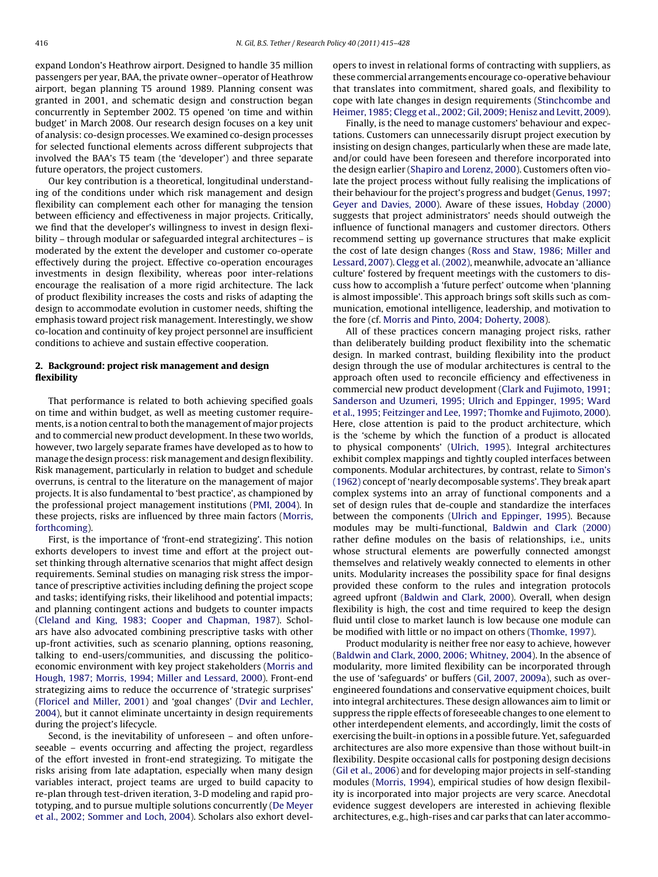expand London's Heathrow airport. Designed to handle 35 million passengers per year, BAA, the private owner–operator of Heathrow airport, began planning T5 around 1989. Planning consent was granted in 2001, and schematic design and construction began concurrently in September 2002. T5 opened 'on time and within budget' in March 2008. Our research design focuses on a key unit of analysis: co-design processes. We examined co-design processes for selected functional elements across different subprojects that involved the BAA's T5 team (the 'developer') and three separate future operators, the project customers.

Our key contribution is a theoretical, longitudinal understanding of the conditions under which risk management and design flexibility can complement each other for managing the tension between efficiency and effectiveness in major projects. Critically, we find that the developer's willingness to invest in design flexibility – through modular or safeguarded integral architectures – is moderated by the extent the developer and customer co-operate effectively during the project. Effective co-operation encourages investments in design flexibility, whereas poor inter-relations encourage the realisation of a more rigid architecture. The lack of product flexibility increases the costs and risks of adapting the design to accommodate evolution in customer needs, shifting the emphasis toward project risk management. Interestingly, we show co-location and continuity of key project personnel are insufficient conditions to achieve and sustain effective cooperation.

#### **2. Background: project risk management and design flexibility**

That performance is related to both achieving specified goals on time and within budget, as well as meeting customer requirements, is a notion central to both the management of major projects and to commercial new product development. In these two worlds, however, two largely separate frames have developed as to how to manage the design process: risk management and design flexibility. Risk management, particularly in relation to budget and schedule overruns, is central to the literature on the management of major projects. It is also fundamental to 'best practice', as championed by the professional project management institutions [\(PMI, 2004\).](#page--1-0) In these projects, risks are influenced by three main factors [\(Morris,](#page--1-0) [forthcoming\).](#page--1-0)

First, is the importance of 'front-end strategizing'. This notion exhorts developers to invest time and effort at the project outset thinking through alternative scenarios that might affect design requirements. Seminal studies on managing risk stress the importance of prescriptive activities including defining the project scope and tasks; identifying risks, their likelihood and potential impacts; and planning contingent actions and budgets to counter impacts ([Cleland and King, 1983; Cooper and Chapman, 1987\).](#page--1-0) Scholars have also advocated combining prescriptive tasks with other up-front activities, such as scenario planning, options reasoning, talking to end-users/communities, and discussing the politicoeconomic environment with key project stakeholders ([Morris and](#page--1-0) [Hough, 1987; Morris, 1994; Miller and Lessard, 2000\).](#page--1-0) Front-end strategizing aims to reduce the occurrence of 'strategic surprises' ([Floricel and Miller, 2001\)](#page--1-0) and 'goal changes' [\(Dvir and Lechler,](#page--1-0) [2004\),](#page--1-0) but it cannot eliminate uncertainty in design requirements during the project's lifecycle.

Second, is the inevitability of unforeseen – and often unforeseeable – events occurring and affecting the project, regardless of the effort invested in front-end strategizing. To mitigate the risks arising from late adaptation, especially when many design variables interact, project teams are urged to build capacity to re-plan through test-driven iteration, 3-D modeling and rapid prototyping, and to pursue multiple solutions concurrently ([De Meyer](#page--1-0) [et al., 2002; Sommer and Loch, 2004\).](#page--1-0) Scholars also exhort developers to invest in relational forms of contracting with suppliers, as these commercial arrangements encourage co-operative behaviour that translates into commitment, shared goals, and flexibility to cope with late changes in design requirements ([Stinchcombe and](#page--1-0) [Heimer, 1985; Clegg et al., 2002; Gil, 2009; Henisz and Levitt, 2009\).](#page--1-0)

Finally, is the need to manage customers' behaviour and expectations. Customers can unnecessarily disrupt project execution by insisting on design changes, particularly when these are made late, and/or could have been foreseen and therefore incorporated into the design earlier ([Shapiro and Lorenz, 2000\).](#page--1-0) Customers often violate the project process without fully realising the implications of their behaviour for the project's progress and budget [\(Genus, 1997;](#page--1-0) [Geyer and Davies, 2000\).](#page--1-0) Aware of these issues, [Hobday \(2000\)](#page--1-0) suggests that project administrators' needs should outweigh the influence of functional managers and customer directors. Others recommend setting up governance structures that make explicit the cost of late design changes [\(Ross and Staw, 1986; Miller and](#page--1-0) [Lessard, 2007\).](#page--1-0) [Clegg et al. \(2002\), m](#page--1-0)eanwhile, advocate an 'alliance culture' fostered by frequent meetings with the customers to discuss how to accomplish a 'future perfect' outcome when 'planning is almost impossible'. This approach brings soft skills such as communication, emotional intelligence, leadership, and motivation to the fore (cf. [Morris and Pinto, 2004; Doherty, 2008\).](#page--1-0)

All of these practices concern managing project risks, rather than deliberately building product flexibility into the schematic design. In marked contrast, building flexibility into the product design through the use of modular architectures is central to the approach often used to reconcile efficiency and effectiveness in commercial new product development [\(Clark and Fujimoto, 1991;](#page--1-0) [Sanderson and Uzumeri, 1995; Ulrich and Eppinger, 1995; Ward](#page--1-0) [et al., 1995; Feitzinger and Lee, 1997; Thomke and Fujimoto, 2000\).](#page--1-0) Here, close attention is paid to the product architecture, which is the 'scheme by which the function of a product is allocated to physical components' [\(Ulrich, 1995\).](#page--1-0) Integral architectures exhibit complex mappings and tightly coupled interfaces between components. Modular architectures, by contrast, relate to [Simon's](#page--1-0) [\(1962\)](#page--1-0) concept of 'nearly decomposable systems'. They break apart complex systems into an array of functional components and a set of design rules that de-couple and standardize the interfaces between the components ([Ulrich and Eppinger, 1995\).](#page--1-0) Because modules may be multi-functional, [Baldwin and Clark \(2000\)](#page--1-0) rather define modules on the basis of relationships, i.e., units whose structural elements are powerfully connected amongst themselves and relatively weakly connected to elements in other units. Modularity increases the possibility space for final designs provided these conform to the rules and integration protocols agreed upfront ([Baldwin and Clark, 2000\).](#page--1-0) Overall, when design flexibility is high, the cost and time required to keep the design fluid until close to market launch is low because one module can be modified with little or no impact on others ([Thomke, 1997\).](#page--1-0)

Product modularity is neither free nor easy to achieve, however [\(Baldwin and Clark, 2000, 2006; Whitney, 2004\).](#page--1-0) In the absence of modularity, more limited flexibility can be incorporated through the use of 'safeguards' or buffers [\(Gil, 2007, 2009a\),](#page--1-0) such as overengineered foundations and conservative equipment choices, built into integral architectures. These design allowances aim to limit or suppress the ripple effects of foreseeable changes to one element to other interdependent elements, and accordingly, limit the costs of exercising the built-in options in a possible future. Yet, safeguarded architectures are also more expensive than those without built-in flexibility. Despite occasional calls for postponing design decisions [\(Gil et al., 2006\)](#page--1-0) and for developing major projects in self-standing modules [\(Morris, 1994\),](#page--1-0) empirical studies of how design flexibility is incorporated into major projects are very scarce. Anecdotal evidence suggest developers are interested in achieving flexible architectures, e.g., high-rises and car parks that can later accommo-